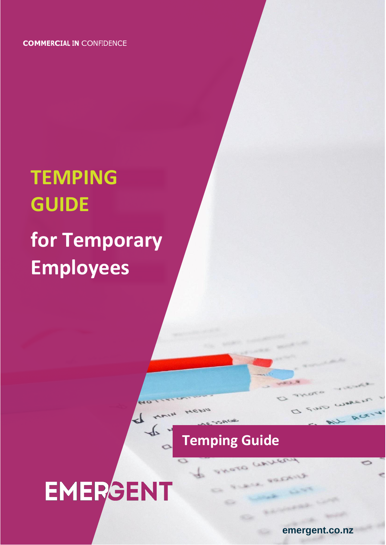**COMMERCIAL IN** CONFIDENCE

## **TEMPING GUIDE for Temporary Employees**

## **Temping Guide**

 $7.52$ 

# EMERGENT

emergent.co.nz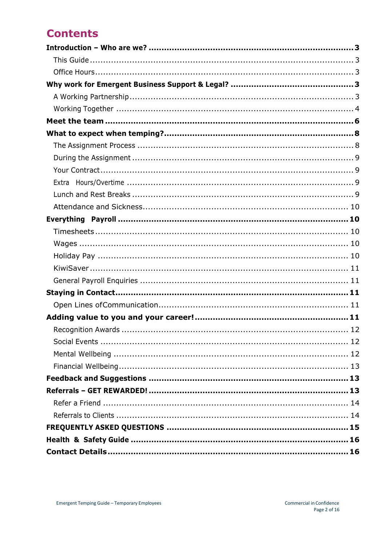## **Contents**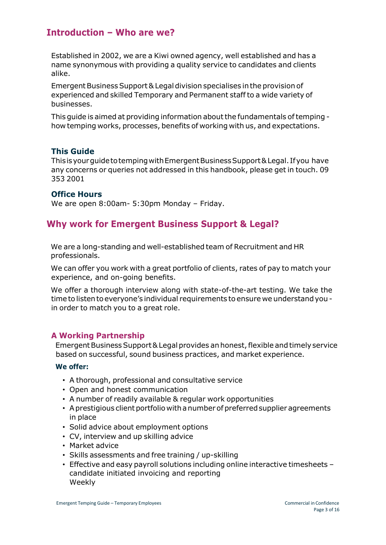## <span id="page-2-0"></span>**Introduction – Who are we?**

Established in 2002, we are a Kiwi owned agency, well established and has a name synonymous with providing a quality service to candidates and clients alike.

Emergent Business Support & Legal division specialises in the provision of experienced and skilled Temporary and Permanent staff to a wide variety of businesses.

This guide is aimed at providing information aboutthe fundamentals oftemping how temping works, processes, benefits of working with us, and expectations.

## <span id="page-2-1"></span>**This Guide**

ThisisyourguidetotempingwithEmergentBusinessSupport&Legal. Ifyou have any concerns or queries not addressed in this handbook, please get in touch. 09 353 2001

## <span id="page-2-2"></span>**Office Hours**

We are open 8:00am- 5:30pm Monday – Friday.

## <span id="page-2-3"></span>**Why work for Emergent Business Support & Legal?**

We are a long-standing and well-established team of Recruitment and HR professionals.

We can offer you work with a great portfolio of clients, rates of pay to match your experience, and on-going benefits.

We offer a thorough interview along with state-of-the-art testing. We take the time to listen to everyone's individual requirements to ensure we understand you in order to match you to a great role.

## <span id="page-2-4"></span>**A Working Partnership**

Emergent Business Support & Legal provides an honest, flexible and timely service based on successful, sound business practices, and market experience.

#### **We offer:**

- A thorough, professional and consultative service
- Open and honest communication
- A number of readily available & regular work opportunities
- A prestigious client portfolio with a number of preferred supplier agreements in place
- Solid advice about employment options
- CV, interview and up skilling advice
- Market advice
- Skills assessments and free training / up-skilling
- Effective and easy payroll solutions including online interactive timesheets candidate initiated invoicing and reporting Weekly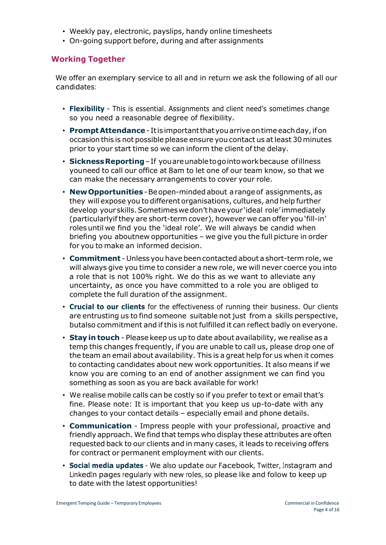- Weekly pay, electronic, payslips, handy online timesheets
- On-going support before, during and after assignments

## <span id="page-3-0"></span>**Working Together**

We offer an exemplary service to all and in return we ask the following of all our candidates:

- **Flexibility** This is essential. Assignments and client need's sometimes change so you need a reasonable degree of flexibility.
- **PromptAttendance** Itis importantthatyouarrive ontime eachday,ifon occasion this is not possible please ensure you contact us atleast 30minutes prior to your start time so we can inform the client of the delay.
- **SicknessReporting**–If youareunabletogointoworkbecause ofillness youneed to call our office at 8am to let one of our team know, so that we can make the necessary arrangements to cover your role.
- **NewOpportunities** -Beopen-mindedabout arangeof assignments, as they will expose you to different organisations, cultures, and help further develop yourskills.Sometimeswedon'thaveyour 'ideal role' immediately (particularlyifthey are short-term cover), however we can offer you 'fill-in' roles until we find you the 'ideal role'. We will always be candid when briefing you aboutnew opportunities – we give you the full picture in order for you to make an informed decision.
- **Commitment** Unless you have been contacted about a short-term role, we will always give you time to consider a new role, we will never coerce you into a role that is not 100% right. We do this as we want to alleviate any uncertainty, as once you have committed to a role you are obliged to complete the full duration of the assignment.
- **Crucial to our clients** for the effectiveness of running their business. Our clients are entrusting us to find someone suitable not just from a skills perspective, butalso commitment and if this is not fulfilled it can reflect badly on everyone.
- **Stay in touch** Please keep us up to date about availability, we realise as a temp this changes frequently, if you are unable to call us, please drop one of the team an email about availability. This is a great help for us when it comes to contacting candidates about new work opportunities. It also means if we know you are coming to an end of another assignment we can find you something as soon as you are back available for work!
- We realise mobile calls can be costly so if you prefer to text or email that's fine. Please note: It is important that you keep us up-to-date with any changes to your contact details – especially email and phone details.
- **Communication**  Impress people with your professional, proactive and friendly approach. We find that temps who display these attributes are often requested back to our clients and in many cases, it leads to receiving offers for contract or permanent employment with our clients.
- **Social media updates** We also update our Facebook, Twitter, Instagram and LinkedIn pages regularly with new roles, so please like and follow to keep up to date with the latest opportunities!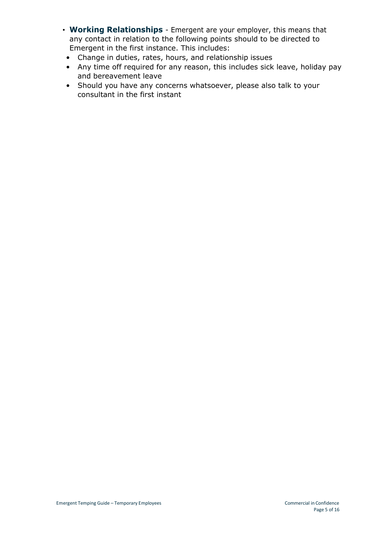- **Working Relationships**  Emergent are your employer, this means that any contact in relation to the following points should to be directed to Emergent in the first instance. This includes:
	- Change in duties, rates, hours, and relationship issues
- Any time off required for any reason, this includes sick leave, holiday pay and bereavement leave
- Should you have any concerns whatsoever, please also talk to your consultant in the first instant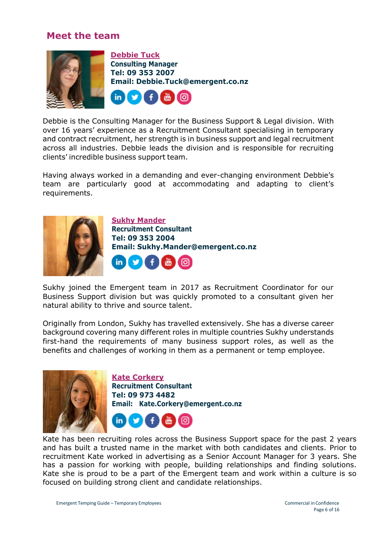## **Meet the team**

<span id="page-5-0"></span>

Debbie is the Consulting Manager for the Business Support & Legal division. With over 16 years' experience as a Recruitment Consultant specialising in temporary and contract recruitment, her strength is in business support and legal recruitment across all industries. Debbie leads the division and is responsible for recruiting clients' incredible business support team.

Having always worked in a demanding and ever-changing environment Debbie's team are particularly good at accommodating and adapting to client's requirements.



**Sukhy Mander Recruitment Consultant Tel: 09 353 2004 Email: [Sukhy.Mander@emergent.co.nz](mailto:Sukhy.Mander@emergent.co.nz)**  $\mathsf{in}$  $\bullet$ 

Sukhy joined the Emergent team in 2017 as Recruitment Coordinator for our Business Support division but was quickly promoted to a consultant given her natural ability to thrive and source talent.

Originally from London, Sukhy has travelled extensively. She has a diverse career background covering many different roles in multiple countries Sukhy understands first-hand the requirements of many business support roles, as well as the benefits and challenges of working in them as a permanent or temp employee.



**Kate Corkery Recruitment Consultant Tel: 09 973 4482 Email: [Kate.Corkery@emergent.co.nz](mailto:Kate.Corkery@emergent.co.nz)**



Kate has been recruiting roles across the Business Support space for the past 2 years and has built a trusted name in the market with both candidates and clients. Prior to recruitment Kate worked in advertising as a Senior Account Manager for 3 years. She has a passion for working with people, building relationships and finding solutions. Kate she is proud to be a part of the Emergent team and work within a culture is so focused on building strong client and candidate relationships.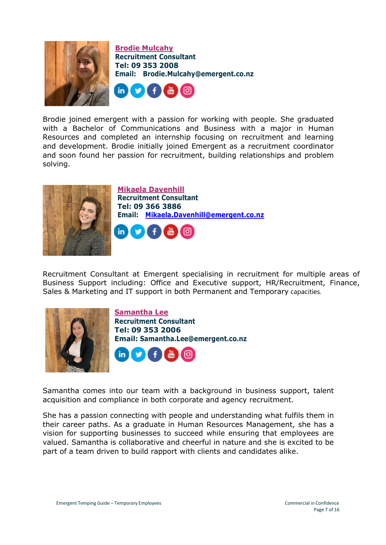

**Brodie Mulcahy Recruitment Consultant Tel: 09 353 2008 Email: [Brodie.Mulcahy@emergent.co.nz](mailto:Brodie.Mulcahy@emergent.co.nz)**



Brodie joined emergent with a passion for working with people. She graduated with a Bachelor of Communications and Business with a major in Human Resources and completed an internship focusing on recruitment and learning and development. Brodie initially joined Emergent as a recruitment coordinator and soon found her passion for recruitment, building relationships and problem solving.



**Mikaela Davenhill Recruitment Consultant Tel: 09 366 3886 Email: [Mikaela.Davenhill@emergent.co.nz](mailto:Mikaela.Davenhill@emergent.co.nz)**



Recruitment Consultant at Emergent specialising in recruitment for multiple areas of Business Support including: Office and Executive support, HR/Recruitment, Finance, Sales & Marketing and IT support in both Permanent and Temporary capacities.





Samantha comes into our team with a background in business support, talent acquisition and compliance in both corporate and agency recruitment.

She has a passion connecting with people and understanding what fulfils them in their career paths. As a graduate in Human Resources Management, she has a vision for supporting businesses to succeed while ensuring that employees are valued. Samantha is collaborative and cheerful in nature and she is excited to be part of a team driven to build rapport with clients and candidates alike.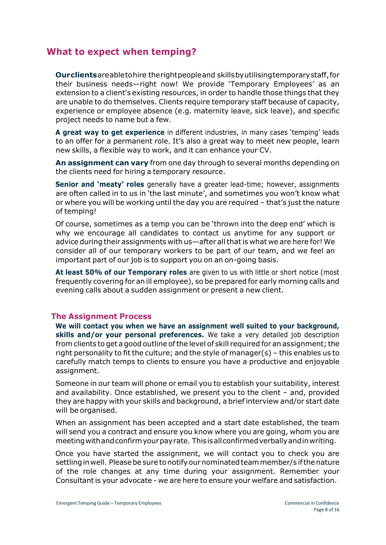## <span id="page-7-0"></span>**What to expect when temping?**

**Ourclients**areabletohire therightpeopleand skillsbyutilisingtemporarystaff,for their business needs—right now! We provide 'Temporary Employees' as an extension to a client's existing resources, in order to handle those things that they are unable to do themselves. Clients require temporary staff because of capacity, experience or employee absence (e.g. maternity leave, sick leave), and specific project needs to name but a few.

**A great way to get experience** in different industries, in many cases 'temping' leads to an offer for a permanent role. It's also a great way to meet new people, learn new skills, a flexible way to work, and it can enhance your CV.

**An assignment can vary** from one day through to several months depending on the clients need for hiring a temporary resource.

**Senior and 'meaty' roles** generally have a greater lead-time; however, assignments are often called in to us in 'the last minute', and sometimes you won't know what or where you will be working until the day you are required – that's just the nature of temping!

Of course, sometimes as a temp you can be 'thrown into the deep end' which is why we encourage all candidates to contact us anytime for any support or advice during their assignments with us—after all that is what we are here for! We consider all of our temporary workers to be part of our team, and we feel an important part of our job is to support you on an on-going basis.

**At least 50% of our Temporary roles** are given to us with little or short notice (most frequently covering for an ill employee), so be prepared for early morning calls and evening calls about a sudden assignment or present a new client.

## <span id="page-7-1"></span>**The Assignment Process**

**We will contact you when we have an assignment well suited to your background, skills and/or your personal preferences.** We take a very detailed job description from clients to get a good outline ofthe level of skill required for an assignment; the right personality to fit the culture; and the style of manager(s) – this enables us to carefully match temps to clients to ensure you have a productive and enjoyable assignment.

Someone in our team will phone or email you to establish your suitability, interest and availability. Once established, we present you to the client – and, provided they are happy with your skills and background, a brief interview and/or start date will be organised.

When an assignment has been accepted and a start date established, the team will send you a contract and ensure you know where you are going, whom you are meetingwithandconfirmyourpayrate. Thisisallconfirmedverballyandinwriting.

Once you have started the assignment, we will contact you to check you are settling in well. Please be sure to notify our nominated team member/s if the nature of the role changes at any time during your assignment. Remember your Consultantis your advocate - we are here to ensure your welfare and satisfaction.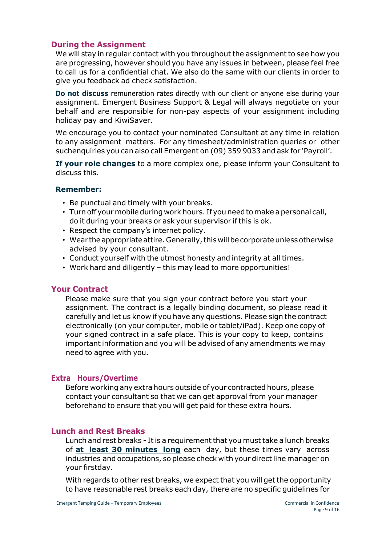## <span id="page-8-0"></span>**During the Assignment**

We will stay in regular contact with you throughout the assignment to see how you are progressing, however should you have any issues in between, please feel free to call us for a confidential chat. We also do the same with our clients in order to give you feedback ad check satisfaction.

**Do not discuss** remuneration rates directly with our client or anyone else during your assignment. Emergent Business Support & Legal will always negotiate on your behalf and are responsible for non-pay aspects of your assignment including holiday pay and KiwiSaver.

We encourage you to contact your nominated Consultant at any time in relation to any assignment matters. For any timesheet/administration queries or other suchenquiries you can also call Emergent on (09) 359 9033 and ask for 'Payroll'.

**If your role changes** to a more complex one, please inform your Consultant to discuss this.

## **Remember:**

- Be punctual and timely with your breaks.
- Turn off yourmobile during work hours. If you need to make a personal call, do it during your breaks or ask your supervisor if this is ok.
- Respect the company's internet policy.
- Wear the appropriate attire. Generally, this will be corporate unless otherwise advised by your consultant.
- Conduct yourself with the utmost honesty and integrity at all times.
- Work hard and diligently this may lead to more opportunities!

## <span id="page-8-1"></span>**Your Contract**

Please make sure that you sign your contract before you start your assignment. The contract is a legally binding document, so please read it carefully and let us know if you have any questions. Please sign the contract electronically (on your computer, mobile or tablet/iPad). Keep one copy of your signed contract in a safe place. This is your copy to keep, contains important information and you will be advised of any amendments we may need to agree with you.

## <span id="page-8-2"></span>**Extra Hours/Overtime**

Before working any extra hours outside of your contracted hours, please contact your consultant so that we can get approval from your manager beforehand to ensure that you will get paid for these extra hours.

## <span id="page-8-3"></span>**Lunch and Rest Breaks**

Lunch and rest breaks - It is a requirement that you must take a lunch breaks of **at least 30 minutes long** each day, but these times vary across industries and occupations, so please check with your direct line manager on your firstday.

With regards to other rest breaks, we expect that you will get the opportunity to have reasonable rest breaks each day, there are no specific guidelines for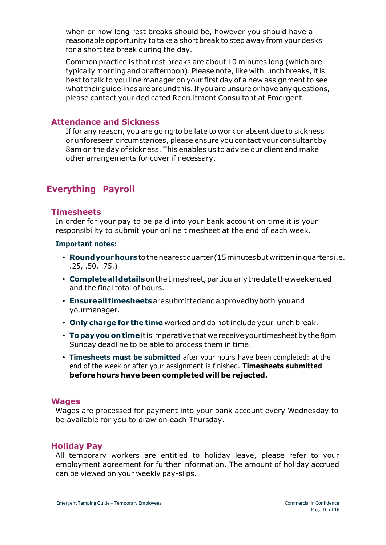when or how long rest breaks should be, however you should have a reasonable opportunity to take a short break to step away from your desks for a short tea break during the day.

Common practice is that rest breaks are about 10 minutes long (which are typically morning and or afternoon). Please note, like with lunch breaks, it is best to talk to you line manager on your first day of a new assignment to see what their quidelines are around this. If you are unsure or have any questions, please contact your dedicated Recruitment Consultant at Emergent.

## <span id="page-9-0"></span>**Attendance and Sickness**

If for any reason, you are going to be late to work or absent due to sickness or unforeseen circumstances, please ensure you contact your consultant by 8am on the day of sickness. This enables us to advise our client and make other arrangements for cover if necessary.

## <span id="page-9-1"></span>**Everything Payroll**

### <span id="page-9-2"></span>**Timesheets**

In order for your pay to be paid into your bank account on time it is your responsibility to submit your online timesheet at the end of each week.

#### **Important notes:**

- **Roundyourhours**tothenearestquarter (15minutesbutwritteninquarters i.e. .25, .50, .75.)
- **Completealldetails**onthetimesheet,particularlythedatethe weekended and the final total of hours.
- **Ensurealltimesheets**aresubmittedandapprovedbyboth youand yourmanager.
- **Only charge for the time** worked and do not include your lunch break.
- **Topayyouontime**itis imperativethatwereceiveyour timesheetbythe8pm Sunday deadline to be able to process them in time.
- **Timesheets must be submitted** after your hours have been completed: at the end of the week or after your assignment is finished. **Timesheets submitted before hours have been completed will be rejected.**

#### <span id="page-9-3"></span>**Wages**

Wages are processed for payment into your bank account every Wednesday to be available for you to draw on each Thursday.

#### <span id="page-9-4"></span>**Holiday Pay**

All temporary workers are entitled to holiday leave, please refer to your employment agreement for further information. The amount of holiday accrued can be viewed on your weekly pay-slips.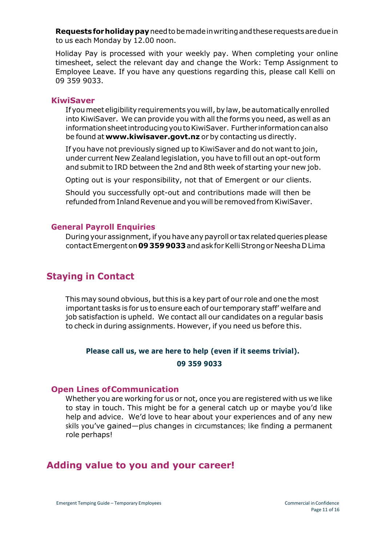**Requestsforholidaypay**needtobemadeinwritingandtheserequestsareduein to us each Monday by 12.00 noon.

Holiday Pay is processed with your weekly pay. When completing your online timesheet, select the relevant day and change the Work: Temp Assignment to Employee Leave. If you have any questions regarding this, please call Kelli on 09 359 9033.

#### <span id="page-10-0"></span>**KiwiSaver**

If you meet eligibility requirements you will, by law, be automatically enrolled into KiwiSaver. We can provide you with all the forms you need, as well as an information sheet introducing you to KiwiSaver. Further information can also be found at **[www.kiwisaver.govt.nz](http://www.kiwisaver.govt.nz/)** or by contacting us directly.

If you have not previously signed up to KiwiSaver and do not wantto join, under current New Zealand legislation, you have to fill out an opt-outform and submit to IRD between the 2nd and 8th week of starting your new job.

Opting out is your responsibility, not that of Emergent or our clients.

Should you successfully opt-out and contributions made will then be refunded from Inland Revenue and you will be removed from KiwiSaver.

#### <span id="page-10-1"></span>**General Payroll Enquiries**

During your assignment, if you have any payroll or tax related queries please contactEmergenton**093599033**andaskforKelliStrongorNeeshaDLima

## <span id="page-10-2"></span>**Staying in Contact**

This may sound obvious, butthis is a key part of our role and one the most important tasks is for us to ensure each of our temporary staff' welfare and job satisfaction is upheld. We contact all our candidates on a regular basis to check in during assignments. However, if you need us before this.

## **Please call us, we are here to help (even if it seems trivial).**

#### **09 359 9033**

## <span id="page-10-3"></span>**Open Lines ofCommunication**

Whether you are working for us or not, once you are registered with us we like to stay in touch. This might be for a general catch up or maybe you'd like help and advice. We'd love to hear about your experiences and of any new skills you've gained—plus changes in circumstances; like finding a permanent role perhaps!

## <span id="page-10-4"></span>**Adding value to you and your career!**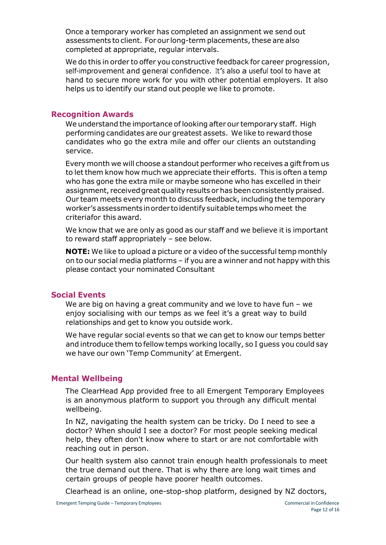Once a temporary worker has completed an assignment we send out assessments to client. For our long-term placements, these are also completed at appropriate, regular intervals.

We do this in order to offer you constructive feedback for career progression, self-improvement and general confidence. It'<sup>s</sup> also a useful tool to have at hand to secure more work for you with other potential employers. It also helps us to identify our stand out people we like to promote.

#### <span id="page-11-0"></span>**Recognition Awards**

We understand the importance of looking after our temporary staff. High performing candidates are our greatest assets. We like to reward those candidates who go the extra mile and offer our clients an outstanding service.

Every month we will choose a standout performer who receives a gift from us to let them know how much we appreciate their efforts. This is often a temp who has gone the extra mile or maybe someone who has excelled in their assignment, received great quality results or has been consistently praised. Our team meets every month to discuss feedback, including the temporary worker'sassessmentsinorder toidentifysuitabletemps whomeet the criteriafor this award.

We know that we are only as good as our staff and we believe it is important to reward staff appropriately – see below.

**NOTE:** We like to upload a picture or a video of the successful temp monthly on to our social media platforms – if you are a winner and not happy with this please contact your nominated Consultant

#### <span id="page-11-1"></span>**Social Events**

We are big on having a great community and we love to have fun - we enjoy socialising with our temps as we feel it's a great way to build relationships and get to know you outside work.

We have regular social events so that we can get to know our temps better and introduce them to fellow temps working locally, so I guess you could say we have our own 'Temp Community' at Emergent.

#### <span id="page-11-2"></span>**Mental Wellbeing**

The ClearHead App provided free to all Emergent Temporary Employees is an anonymous platform to support you through any difficult mental wellbeing.

In NZ, navigating the health system can be tricky. Do I need to see a doctor? When should I see a doctor? For most people seeking medical help, they often don't know where to start or are not comfortable with reaching out in person.

Our health system also cannot train enough health professionals to meet the true demand out there. That is why there are long wait times and certain groups of people have poorer health outcomes.

Clearhead is an online, one-stop-shop platform, designed by NZ doctors,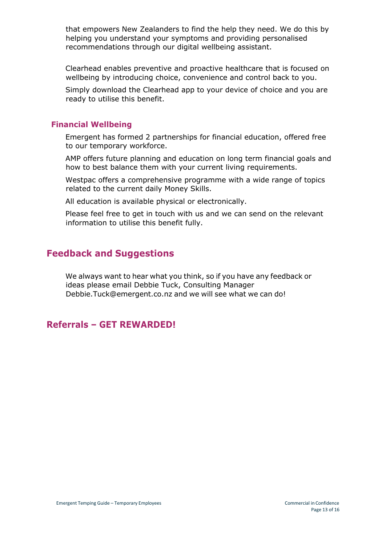that empowers New Zealanders to find the help they need. We do this by helping you understand your symptoms and providing personalised recommendations through our digital wellbeing assistant.

Clearhead enables preventive and proactive healthcare that is focused on wellbeing by introducing choice, convenience and control back to you.

Simply download the Clearhead app to your device of choice and you are ready to utilise this benefit.

#### <span id="page-12-0"></span>**Financial Wellbeing**

Emergent has formed 2 partnerships for financial education, offered free to our temporary workforce.

AMP offers future planning and education on long term financial goals and how to best balance them with your current living requirements.

Westpac offers a comprehensive programme with a wide range of topics related to the current daily Money Skills.

All education is available physical or electronically.

Please feel free to get in touch with us and we can send on the relevant information to utilise this benefit fully.

## <span id="page-12-1"></span>**Feedback and Suggestions**

We always want to hear what you think, so if you have any feedback or ideas please email Debbie Tuck, Consulting Manager [Debbie.Tuck@emergent.co.nz](mailto:Debbie.Tuck@emergent.co.nz) and we will see what we can do!

## <span id="page-12-2"></span>**Referrals – GET REWARDED!**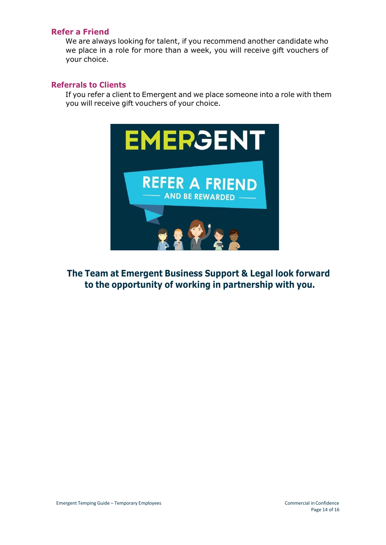#### <span id="page-13-0"></span>**Refer a Friend**

We are always looking for talent, if you recommend another candidate who we place in a role for more than a week, you will receive gift vouchers of your choice.

## <span id="page-13-1"></span>**Referrals to Clients**

If you refer a client to Emergent and we place someone into a role with them you will receive gift vouchers of your choice.



**The Team at Emergent Business Support & Legal look forward to the opportunity of working in partnership with you.**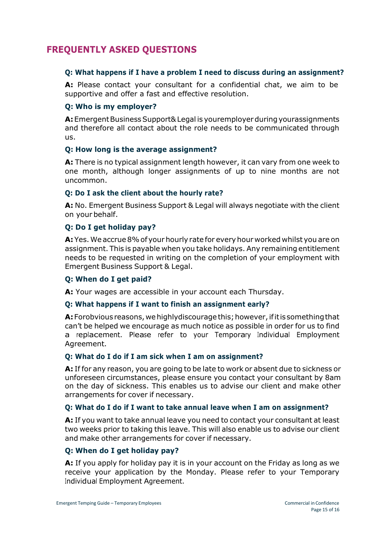## <span id="page-14-0"></span>**FREQUENTLY ASKED QUESTIONS**

## **Q: What happens if I have a problem I need to discuss during an assignment?**

**A:** Please contact your consultant for a confidential chat, we aim to be supportive and offer a fast and effective resolution.

## **Q: Who is my employer?**

**A:** Emergent Business Support& Legal is youremployer during yourassignments and therefore all contact about the role needs to be communicated through us.

## **Q: How long is the average assignment?**

**A:** There is no typical assignment length however, it can vary from one week to one month, although longer assignments of up to nine months are not uncommon.

## **Q: Do I ask the client about the hourly rate?**

**A:** No. Emergent Business Support & Legal will always negotiate with the client on your behalf.

## **Q: Do I get holiday pay?**

**A:**Yes.We accrue8%of your hourlyrate for everyhour worked whilst you are on assignment. This is payable when you take holidays. Any remaining entitlement needs to be requested in writing on the completion of your employment with Emergent Business Support & Legal.

## **Q: When do I get paid?**

**A:** Your wages are accessible in your account each Thursday.

## **Q: What happens if I want to finish an assignment early?**

**A:** Forobvious reasons, we highly discourage this; however, if it is something that can't be helped we encourage as much notice as possible in order for us to find a replacement. Please refer to your Temporary Individual Employment Agreement.

## **Q: What do I do if I am sick when I am on assignment?**

**A:** If for any reason, you are going to be late to work or absent due to sickness or unforeseen circumstances, please ensure you contact your consultant by 8am on the day of sickness. This enables us to advise our client and make other arrangements for cover if necessary.

## **Q: What do I do if I want to take annual leave when I am on assignment?**

**A:** If you want to take annual leave you need to contact your consultant at least two weeks prior to taking this leave. This will also enable us to advise our client and make other arrangements for cover if necessary.

## **Q: When do I get holiday pay?**

**A:** If you apply for holiday pay it is in your account on the Friday as long as we receive your application by the Monday. Please refer to your Temporary Individual Employment Agreement.